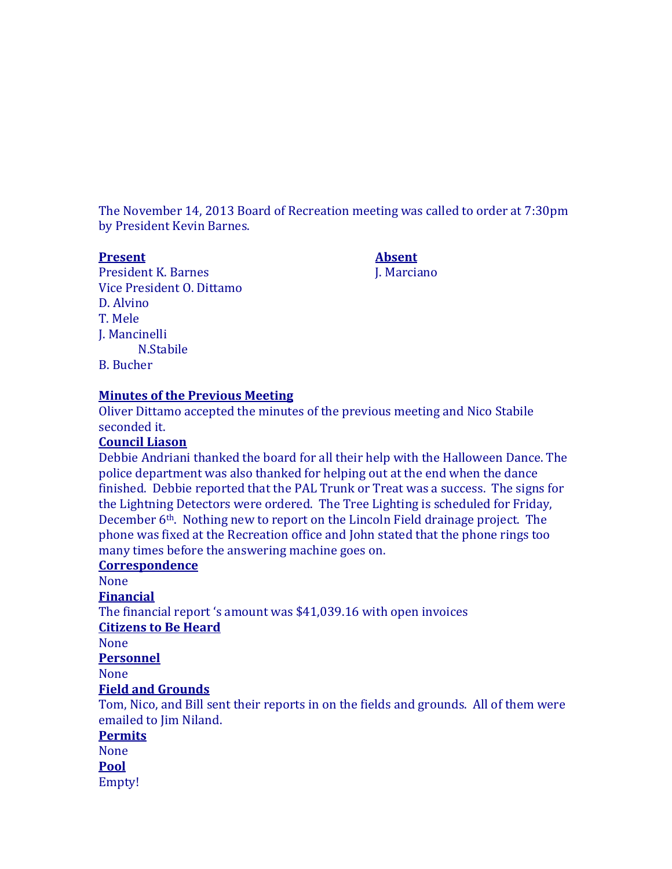The November 14, 2013 Board of Recreation meeting was called to order at 7:30pm by President Kevin Barnes.

#### **Present Absent**

President K. Barnes J. Marciano Vice President O. Dittamo D. Alvino T. Mele J. Mancinelli N.Stabile B. Bucher

# **Minutes of the Previous Meeting**

Oliver Dittamo accepted the minutes of the previous meeting and Nico Stabile seconded it.

# **Council Liason**

Debbie Andriani thanked the board for all their help with the Halloween Dance. The police department was also thanked for helping out at the end when the dance finished. Debbie reported that the PAL Trunk or Treat was a success. The signs for the Lightning Detectors were ordered. The Tree Lighting is scheduled for Friday, December 6th. Nothing new to report on the Lincoln Field drainage project. The phone was fixed at the Recreation office and John stated that the phone rings too many times before the answering machine goes on.

### **Correspondence**

None

**Financial**

The financial report 's amount was \$41,039.16 with open invoices **Citizens to Be Heard**

None

**Personnel**

None

### **Field and Grounds**

Tom, Nico, and Bill sent their reports in on the fields and grounds. All of them were emailed to Jim Niland.

#### **Permits**

None **Pool**

Empty!